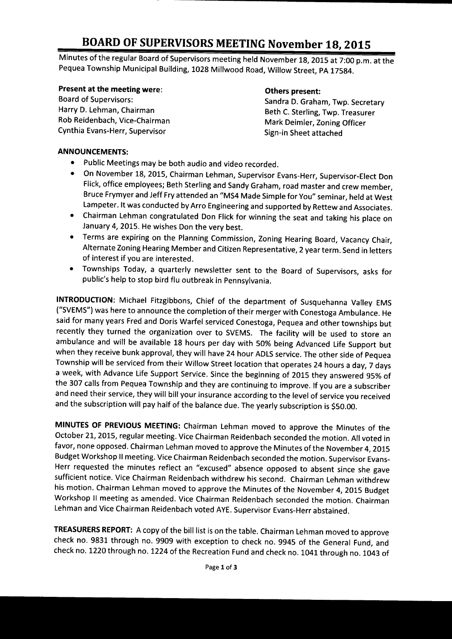# BOARD OF SUPERVISORS MEETING November 18, 2015

Minutes of the regular Board of Supervisors meeting held November 18, 2015 at 7:00 p.m. at the Pequea Township Municipal Building, 1028 Millwood Road, Willow Street, PA 17584.

# **Present at the meeting were: Community Community Community Community Present:** Others present:<br>Board of Supervisors: Community Community Community Community Community Community Community Community Community

Rob Reidenbach, Vice-Chairman Mark Deimler, Zoning Officer Cynthia Evans-Herr, Supervisor Supervisor Sign-in Sheet attached

Board of Supervisors: Sandra D. Graham, Twp. Secretary<br>
Harry D. Lehman, Chairman<br>
Seth C. Sterling Twp Treasurer Beth C. Sterling, Twp. Treasurer

#### ANNOUNCEMENTS:

- $\bullet$ Public Meetings may be both audio and video recorded.
- On November 18, 2015, Chairman Lehman, Supervisor Evans- Herr, Supervisor- Elect Don  $\bullet$ Flick, office employees; Beth Sterling and Sandy Graham, road master and crew member, Bruce Frymyer and Jeff Fry attended an" MS4 Made Simple for You" seminar, held at West Lampeter. It was conducted by Arro Engineering and supported by Rettew and Associates.
- Chairman Lehman congratulated Don Flick for winning the seat and taking his place on  $\bullet$ January 4, 2015. He wishes Don the very best.
- Terms are expiring on the Planning Commission, Zoning Hearing Board, Vacancy Chair,  $\bullet$ Alternate Zoning Hearing Member and Citizen Representative, 2 year term. Send in letters of interest if you are interested.
- Townships Today, a quarterly newsletter sent to the Board of Supervisors, asks for  $\bullet$ public's help to stop bird flu outbreak in Pennsylvania.

INTRODUCTION: Michael Fitzgibbons, Chief of the department of Susquehanna Valley EMS SVEMS") was here to announce the completion of their merger with Conestoga Ambulance. He said for many years Fred and Doris Warfel serviced Conestoga, Pequea and other townships but recently they turned the organization over to SVEMS. The facility will be used to store an ambulance and will be available <sup>18</sup> hours per day with 50% being Advanced Life Support but when they receive bunk approval, they will have 24 hour ADLS service. The other side of Pequea Township will be serviced from their Willow Street location that operates 24 hours <sup>a</sup> day, 7 days <sup>a</sup> week, with Advance Life Support Service. Since the beginning of <sup>2015</sup> they answered 95% of the 307 calls from Pequea Township and they are continuing to improve. If you are <sup>a</sup> subscriber and need their service, they will bill your insurance according to the level of service you received and the subscription will pay half of the balance due. The yearly subscription is \$50.00.

MINUTES OF PREVIOUS MEETING: Chairman Lehman moved to approve the Minutes of the October 21, 2015, regular meeting. Vice Chairman Reidenbach seconded the motion. All voted in favor, none opposed. Chairman Lehman moved to approve the Minutes of the November 4, 2015 Budget Workshop II meeting. Vice Chairman Reidenbach seconded the motion. Supervisor Evans-Herr requested the minutes reflect an "excused" absence opposed to absent since she gave sufficient notice. Vice Chairman Reidenbach withdrew his second. Chairman Lehman withdrew his motion. Chairman Lehman moved to approve the Minutes of the November 4, 2015 Budget Workshop II meeting as amended. Vice Chairman Reidenbach seconded the motion. Chairman Lehman and Vice Chairman Reidenbach voted AYE. Supervisor Evans-Herr abstained.

TREASURERS REPORT: A copy of the bill list is on the table. Chairman Lehman moved to approve check no. 9831 through no. 9909 with exception to check no. 9945 of the General Fund, and check no. 1220 through no. 1224 of the Recreation Fund and check no. 1041 through no. 1043 of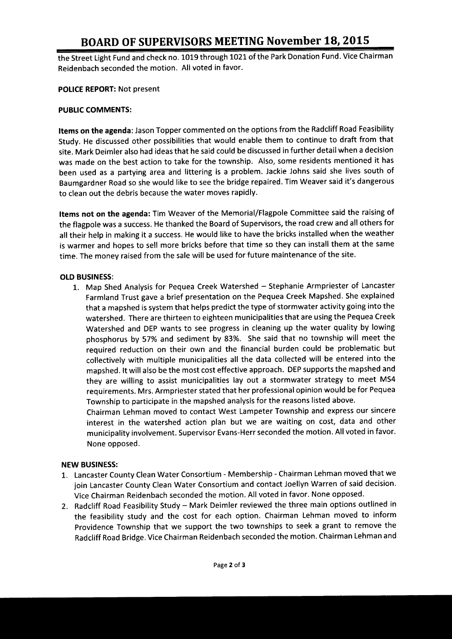## BOARD OF SUPERVISORS MEETING November 18, 2015

the Street Light Fund and check no. 1019 through 1021 of the Park Donation Fund. Vice Chairman Reidenbach seconded the motion. All voted in favor.

POLICE REPORT: Not present

#### PUBLIC COMMENTS:

Items on the agenda: Jason Topper commented on the options from the Radcliff Road Feasibility Study. He discussed other possibilities that would enable them to continue to draft from that site. Mark Deimler also had ideas that he said could be discussed in further detail when <sup>a</sup> decision was made on the best action to take for the township. Also, some residents mentioned it has been used as <sup>a</sup> partying area and littering is <sup>a</sup> problem. Jackie Johns said she lives south of Baumgardner Road so she would like to see the bridge repaired. Tim Weaver said it's dangerous to clean out the debris because the water moves rapidly.

Items not on the agenda: Tim Weaver of the Memorial/Flagpole Committee said the raising of the flagpole was <sup>a</sup> success. He thanked the Board of Supervisors, the road crew and all others for all their help in making it <sup>a</sup> success. He would like to have the bricks installed when the weather is warmer and hopes to sell more bricks before that time so they can install them at the same time. The money raised from the sale will be used for future maintenance of the site.

#### OLD BUSINESS:

1. Map Shed Analysis for Pequea Creek Watershed — Stephanie Armpriester of Lancaster Farmland Trust gave <sup>a</sup> brief presentation on the Pequea Creek Mapshed. She explained that <sup>a</sup> mapshed is system that helps predict the type of stormwater activity going into the watershed. There are thirteen to eighteen municipalities that are using the Pequea Creek Watershed and DEP wants to see progress in cleaning up the water quality by lowing phosphorus by 57% and sediment by 83%. She said that no township will meet the required reduction on their own and the financial burden could be problematic but collectively with multiple municipalities all the data collected will be entered into the mapshed. It will also be the most cost effective approach. DEP supports the mapshed and they are willing to assist municipalities lay out <sup>a</sup> stormwater strategy to meet MS4 requirements. Mrs. Armpriester stated that her professional opinion would be for Pequea Township to participate in the mapshed analysis for the reasons listed above.

Chairman Lehman moved to contact West Lampeter Township and express our sincere interest in the watershed action plan but we are waiting on cost, data and other municipality involvement. Supervisor Evans- Herr seconded the motion. All voted in favor. None opposed.

#### NEW BUSINESS:

- 1. Lancaster County Clean Water Consortium- Membership- Chairman Lehman moved that we join Lancaster County Clean Water Consortium and contact Joellyn Warren of said decision. Vice Chairman Reidenbach seconded the motion. All voted in favor. None opposed.
- 2. Radcliff Road Feasibility Study— Mark Deimler reviewed the three main options outlined in the feasibility study and the cost for each option. Chairman Lehman moved to inform Providence Township that we support the two townships to seek <sup>a</sup> grant to remove the Radcliff Road Bridge. Vice Chairman Reidenbach seconded the motion. Chairman Lehman and